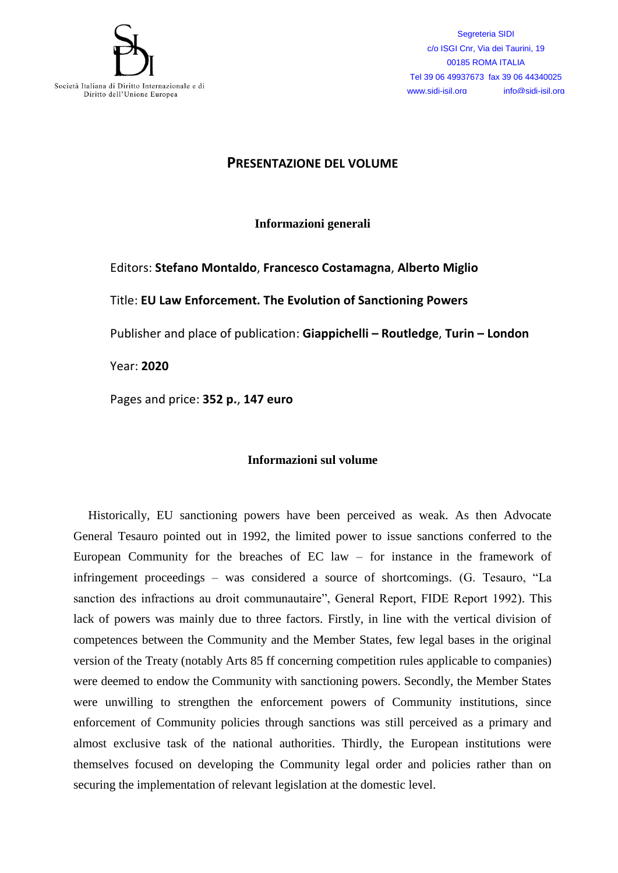

Segreteria SIDI c/o ISGI Cnr, Via dei Taurini, 19 00185 ROMA ITALIA Tel 39 06 49937673 fax 39 06 44340025 www.sidi-isil.org info@sidi-isil.org

## **PRESENTAZIONE DEL VOLUME**

**Informazioni generali**

Editors: **Stefano Montaldo**, **Francesco Costamagna**, **Alberto Miglio** Title: **EU Law Enforcement. The Evolution of Sanctioning Powers** Publisher and place of publication: **Giappichelli – Routledge**, **Turin – London**  Year: **2020**

Pages and price: **352 p.**, **147 euro**

## **Informazioni sul volume**

Historically, EU sanctioning powers have been perceived as weak. As then Advocate General Tesauro pointed out in 1992, the limited power to issue sanctions conferred to the European Community for the breaches of EC law – for instance in the framework of infringement proceedings – was considered a source of shortcomings. (G. Tesauro, "La sanction des infractions au droit communautaire", General Report, FIDE Report 1992). This lack of powers was mainly due to three factors. Firstly, in line with the vertical division of competences between the Community and the Member States, few legal bases in the original version of the Treaty (notably Arts 85 ff concerning competition rules applicable to companies) were deemed to endow the Community with sanctioning powers. Secondly, the Member States were unwilling to strengthen the enforcement powers of Community institutions, since enforcement of Community policies through sanctions was still perceived as a primary and almost exclusive task of the national authorities. Thirdly, the European institutions were themselves focused on developing the Community legal order and policies rather than on securing the implementation of relevant legislation at the domestic level.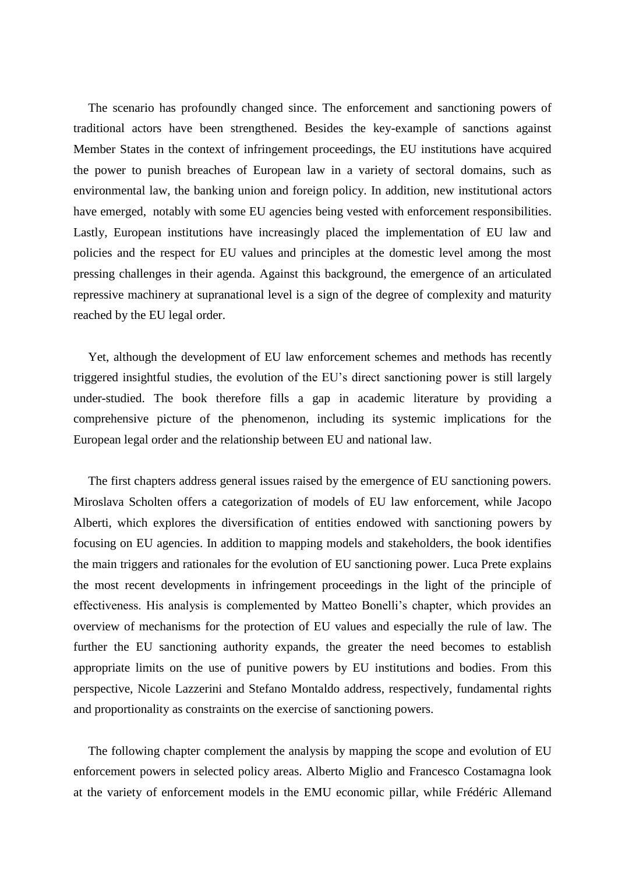The scenario has profoundly changed since. The enforcement and sanctioning powers of traditional actors have been strengthened. Besides the key-example of sanctions against Member States in the context of infringement proceedings, the EU institutions have acquired the power to punish breaches of European law in a variety of sectoral domains, such as environmental law, the banking union and foreign policy. In addition, new institutional actors have emerged, notably with some EU agencies being vested with enforcement responsibilities. Lastly, European institutions have increasingly placed the implementation of EU law and policies and the respect for EU values and principles at the domestic level among the most pressing challenges in their agenda. Against this background, the emergence of an articulated repressive machinery at supranational level is a sign of the degree of complexity and maturity reached by the EU legal order.

Yet, although the development of EU law enforcement schemes and methods has recently triggered insightful studies, the evolution of the EU's direct sanctioning power is still largely under-studied. The book therefore fills a gap in academic literature by providing a comprehensive picture of the phenomenon, including its systemic implications for the European legal order and the relationship between EU and national law.

The first chapters address general issues raised by the emergence of EU sanctioning powers. Miroslava Scholten offers a categorization of models of EU law enforcement, while Jacopo Alberti, which explores the diversification of entities endowed with sanctioning powers by focusing on EU agencies. In addition to mapping models and stakeholders, the book identifies the main triggers and rationales for the evolution of EU sanctioning power. Luca Prete explains the most recent developments in infringement proceedings in the light of the principle of effectiveness. His analysis is complemented by Matteo Bonelli's chapter, which provides an overview of mechanisms for the protection of EU values and especially the rule of law. The further the EU sanctioning authority expands, the greater the need becomes to establish appropriate limits on the use of punitive powers by EU institutions and bodies. From this perspective, Nicole Lazzerini and Stefano Montaldo address, respectively, fundamental rights and proportionality as constraints on the exercise of sanctioning powers.

The following chapter complement the analysis by mapping the scope and evolution of EU enforcement powers in selected policy areas. Alberto Miglio and Francesco Costamagna look at the variety of enforcement models in the EMU economic pillar, while Frédéric Allemand